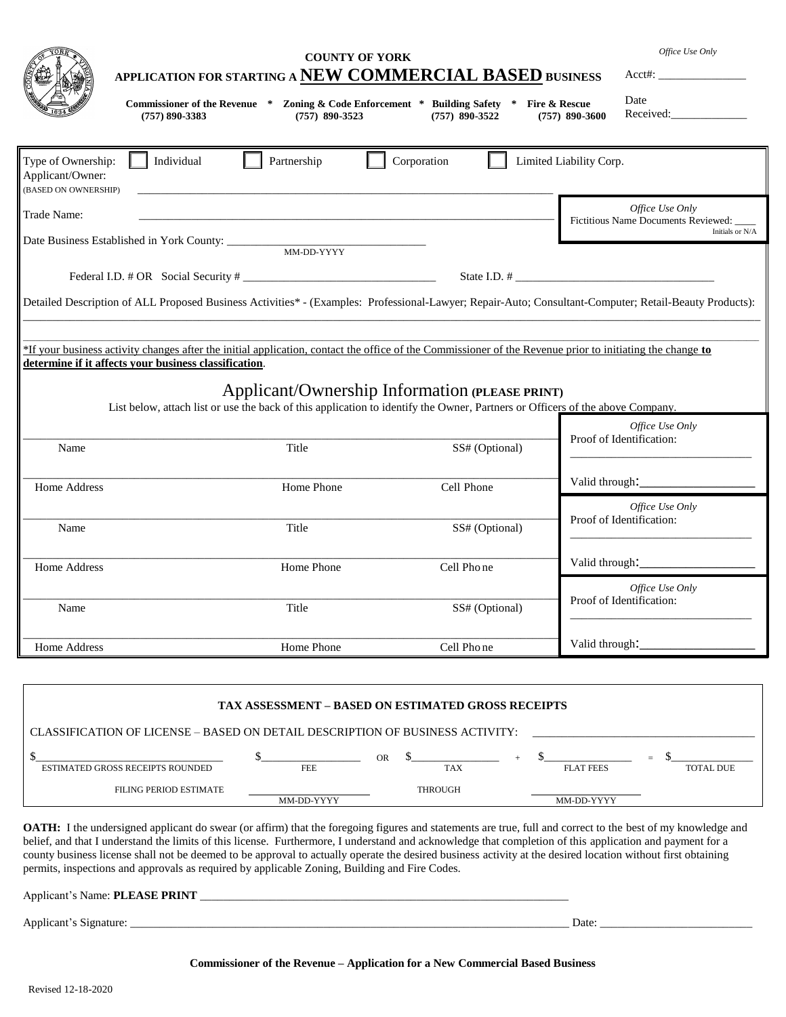| APPLICATION FOR STARTING A NEW COMMERCIAL BASED BUSINESS<br>Commissioner of the Revenue * Zoning & Code Enforcement * Building Safety<br>$(757) 890 - 3383$ | Office Use Only<br>Date<br>Fire & Rescue<br>Received:<br>$(757)$ 890-3600 |                                                                                                                                                                                                             |                                                                                                                                                        |
|-------------------------------------------------------------------------------------------------------------------------------------------------------------|---------------------------------------------------------------------------|-------------------------------------------------------------------------------------------------------------------------------------------------------------------------------------------------------------|--------------------------------------------------------------------------------------------------------------------------------------------------------|
| Type of Ownership:<br>Applicant/Owner:<br>(BASED ON OWNERSHIP)                                                                                              | Individual<br>Partnership                                                 | Corporation                                                                                                                                                                                                 | Limited Liability Corp.                                                                                                                                |
| Trade Name:<br>Date Business Established in York County: _____________                                                                                      | MM-DD-YYYY                                                                |                                                                                                                                                                                                             | Office Use Only<br>Fictitious Name Documents Reviewed:<br>Initials or N/A                                                                              |
| determine if it affects your business classification.                                                                                                       |                                                                           | *If your business activity changes after the initial application, contact the office of the Commissioner of the Revenue prior to initiating the change to<br>Applicant/Ownership Information (PLEASE PRINT) | Detailed Description of ALL Proposed Business Activities* - (Examples: Professional-Lawyer; Repair-Auto; Consultant-Computer; Retail-Beauty Products): |
| Name                                                                                                                                                        | Title                                                                     | List below, attach list or use the back of this application to identify the Owner, Partners or Officers of the above Company.<br>SS# (Optional)                                                             | Office Use Only<br>Proof of Identification:                                                                                                            |
| Home Address                                                                                                                                                | Home Phone                                                                | Cell Phone                                                                                                                                                                                                  | Valid through:<br>Office Use Only                                                                                                                      |
| Name                                                                                                                                                        | Title                                                                     | SS# (Optional)                                                                                                                                                                                              | Proof of Identification:                                                                                                                               |
| Home Address                                                                                                                                                | Home Phone                                                                | Cell Phone                                                                                                                                                                                                  | Valid through:<br>Office Use Only<br>Proof of Identification:                                                                                          |
| Name                                                                                                                                                        | Title                                                                     | SS# (Optional)                                                                                                                                                                                              |                                                                                                                                                        |
| Home Address                                                                                                                                                | Home Phone                                                                | Cell Phone                                                                                                                                                                                                  | Valid through:                                                                                                                                         |

| <b>TAX ASSESSMENT – BASED ON ESTIMATED GROSS RECEIPTS</b>                     |            |           |                |  |                  |                         |
|-------------------------------------------------------------------------------|------------|-----------|----------------|--|------------------|-------------------------|
| CLASSIFICATION OF LICENSE – BASED ON DETAIL DESCRIPTION OF BUSINESS ACTIVITY: |            |           |                |  |                  |                         |
| ESTIMATED GROSS RECEIPTS ROUNDED                                              | <b>FEE</b> | <b>OR</b> | <b>TAX</b>     |  | <b>FLAT FEES</b> | $=$<br><b>TOTAL DUE</b> |
| FILING PERIOD ESTIMATE                                                        | MM-DD-YYYY |           | <b>THROUGH</b> |  | MM-DD-YYYY       |                         |

**OATH:** I the undersigned applicant do swear (or affirm) that the foregoing figures and statements are true, full and correct to the best of my knowledge and belief, and that I understand the limits of this license. Furthermore, I understand and acknowledge that completion of this application and payment for a county business license shall not be deemed to be approval to actually operate the desired business activity at the desired location without first obtaining permits, inspections and approvals as required by applicable Zoning, Building and Fire Codes.

| Applicant's Name: PLEASE PRINT |  |
|--------------------------------|--|
|                                |  |

Applicant's Signature: \_\_\_\_\_\_\_\_\_\_\_\_\_\_\_\_\_\_\_\_\_\_\_\_\_\_\_\_\_\_\_\_\_\_\_\_\_\_\_\_\_\_\_\_\_\_\_\_\_\_\_\_\_\_\_\_\_\_\_\_\_\_\_\_\_\_\_\_\_\_\_\_\_\_\_ Date: \_\_\_\_\_\_\_\_\_\_\_\_\_\_\_\_\_\_\_\_\_\_\_\_\_\_